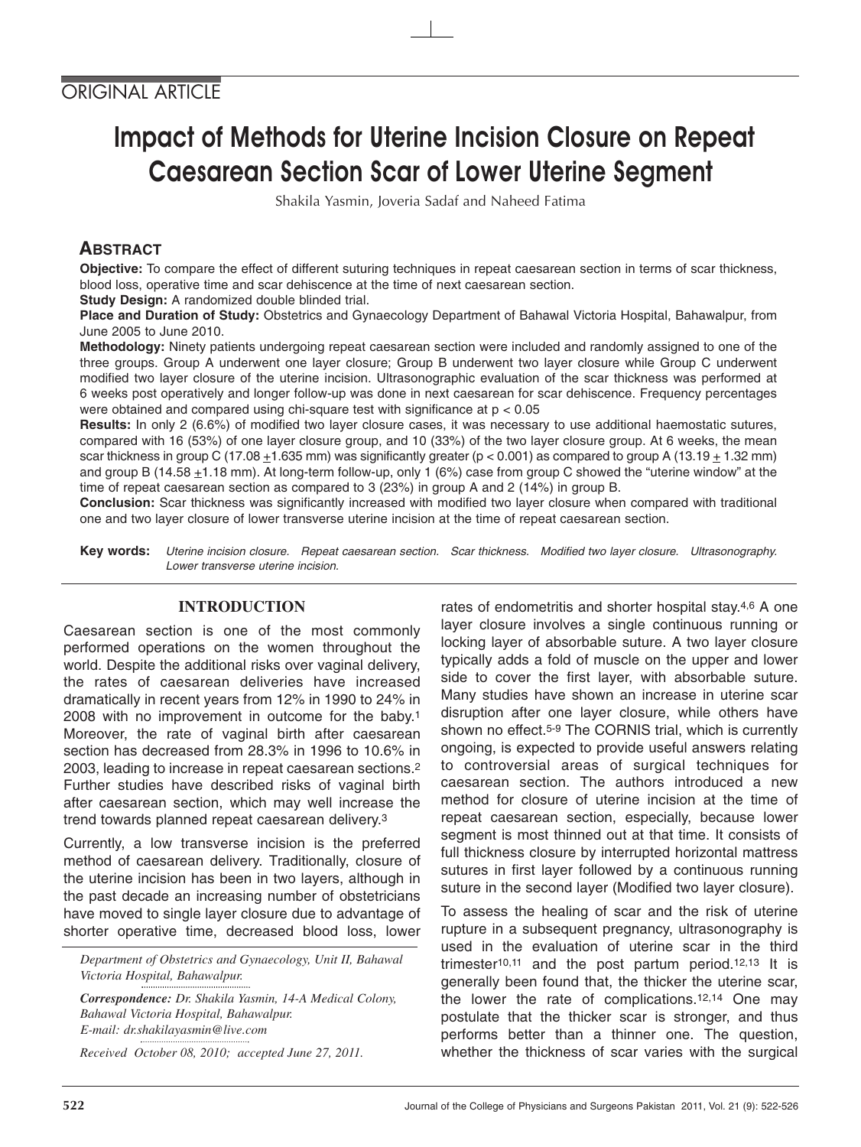# Impact of Methods for Uterine Incision Closure on Repeat Caesarean Section Scar of Lower Uterine Segment

Shakila Yasmin, Joveria Sadaf and Naheed Fatima

## **ABSTRACT**

**Objective:** To compare the effect of different suturing techniques in repeat caesarean section in terms of scar thickness, blood loss, operative time and scar dehiscence at the time of next caesarean section.

**Study Design:** A randomized double blinded trial.

**Place and Duration of Study:** Obstetrics and Gynaecology Department of Bahawal Victoria Hospital, Bahawalpur, from June 2005 to June 2010.

**Methodology:** Ninety patients undergoing repeat caesarean section were included and randomly assigned to one of the three groups. Group A underwent one layer closure; Group B underwent two layer closure while Group C underwent modified two layer closure of the uterine incision. Ultrasonographic evaluation of the scar thickness was performed at 6 weeks post operatively and longer follow-up was done in next caesarean for scar dehiscence. Frequency percentages were obtained and compared using chi-square test with significance at p < 0.05

**Results:** In only 2 (6.6%) of modified two layer closure cases, it was necessary to use additional haemostatic sutures, compared with 16 (53%) of one layer closure group, and 10 (33%) of the two layer closure group. At 6 weeks, the mean scar thickness in group C (17.08  $\pm$ 1.635 mm) was significantly greater (p < 0.001) as compared to group A (13.19  $\pm$  1.32 mm) and group B (14.58  $\pm$ 1.18 mm). At long-term follow-up, only 1 (6%) case from group C showed the "uterine window" at the time of repeat caesarean section as compared to 3 (23%) in group A and 2 (14%) in group B.

**Conclusion:** Scar thickness was significantly increased with modified two layer closure when compared with traditional one and two layer closure of lower transverse uterine incision at the time of repeat caesarean section.

**Key words:** Uterine incision closure. Repeat caesarean section. Scar thickness. Modified two layer closure. Ultrasonography. Lower transverse uterine incision.

## **INTRODUCTION**

Caesarean section is one of the most commonly performed operations on the women throughout the world. Despite the additional risks over vaginal delivery, the rates of caesarean deliveries have increased dramatically in recent years from 12% in 1990 to 24% in 2008 with no improvement in outcome for the baby.1 Moreover, the rate of vaginal birth after caesarean section has decreased from 28.3% in 1996 to 10.6% in 2003, leading to increase in repeat caesarean sections.2 Further studies have described risks of vaginal birth after caesarean section, which may well increase the trend towards planned repeat caesarean delivery.3

Currently, a low transverse incision is the preferred method of caesarean delivery. Traditionally, closure of the uterine incision has been in two layers, although in the past decade an increasing number of obstetricians have moved to single layer closure due to advantage of shorter operative time, decreased blood loss, lower

*Department of Obstetrics and Gynaecology, Unit II, Bahawal Victoria Hospital, Bahawalpur.*

*Correspondence: Dr. Shakila Yasmin, 14-A Medical Colony, Bahawal Victoria Hospital, Bahawalpur. E-mail: dr.shakilayasmin@live.com*

*Received October 08, 2010; accepted June 27, 2011.*

rates of endometritis and shorter hospital stay.4,6 A one layer closure involves a single continuous running or locking layer of absorbable suture. A two layer closure typically adds a fold of muscle on the upper and lower side to cover the first layer, with absorbable suture. Many studies have shown an increase in uterine scar disruption after one layer closure, while others have shown no effect.5-9 The CORNIS trial, which is currently ongoing, is expected to provide useful answers relating to controversial areas of surgical techniques for caesarean section. The authors introduced a new method for closure of uterine incision at the time of repeat caesarean section, especially, because lower segment is most thinned out at that time. It consists of full thickness closure by interrupted horizontal mattress sutures in first layer followed by a continuous running suture in the second layer (Modified two layer closure).

To assess the healing of scar and the risk of uterine rupture in a subsequent pregnancy, ultrasonography is used in the evaluation of uterine scar in the third trimester10,11 and the post partum period.12,13 It is generally been found that, the thicker the uterine scar, the lower the rate of complications.12,14 One may postulate that the thicker scar is stronger, and thus performs better than a thinner one. The question, whether the thickness of scar varies with the surgical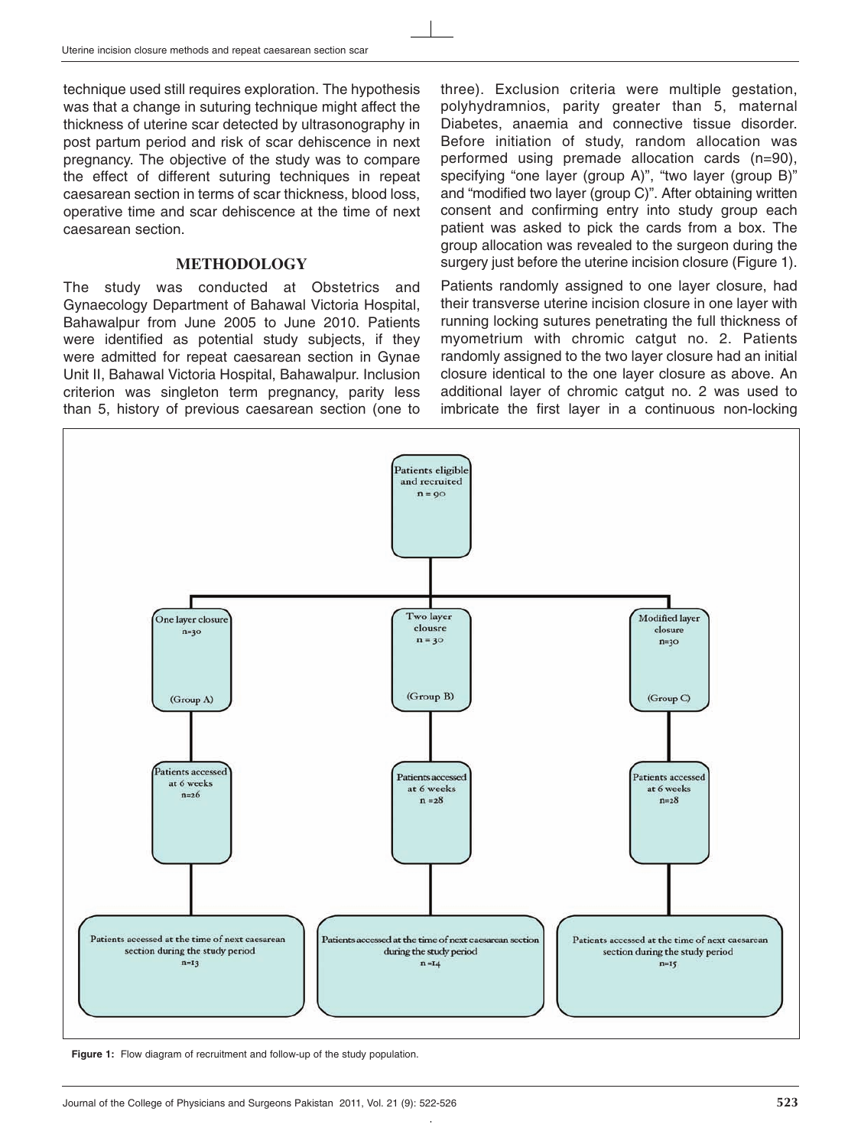technique used still requires exploration. The hypothesis was that a change in suturing technique might affect the thickness of uterine scar detected by ultrasonography in post partum period and risk of scar dehiscence in next pregnancy. The objective of the study was to compare the effect of different suturing techniques in repeat caesarean section in terms of scar thickness, blood loss, operative time and scar dehiscence at the time of next caesarean section.

#### **METHODOLOGY**

The study was conducted at Obstetrics and Gynaecology Department of Bahawal Victoria Hospital, Bahawalpur from June 2005 to June 2010. Patients were identified as potential study subjects, if they were admitted for repeat caesarean section in Gynae Unit II, Bahawal Victoria Hospital, Bahawalpur. Inclusion criterion was singleton term pregnancy, parity less than 5, history of previous caesarean section (one to

three). Exclusion criteria were multiple gestation, polyhydramnios, parity greater than 5, maternal Diabetes, anaemia and connective tissue disorder. Before initiation of study, random allocation was performed using premade allocation cards (n=90), specifying "one layer (group A)", "two layer (group B)" and "modified two layer (group C)". After obtaining written consent and confirming entry into study group each patient was asked to pick the cards from a box. The group allocation was revealed to the surgeon during the surgery just before the uterine incision closure (Figure 1).

Patients randomly assigned to one layer closure, had their transverse uterine incision closure in one layer with running locking sutures penetrating the full thickness of myometrium with chromic catgut no. 2. Patients randomly assigned to the two layer closure had an initial closure identical to the one layer closure as above. An additional layer of chromic catgut no. 2 was used to imbricate the first layer in a continuous non-locking



**Figure 1:** Flow diagram of recruitment and follow-up of the study population.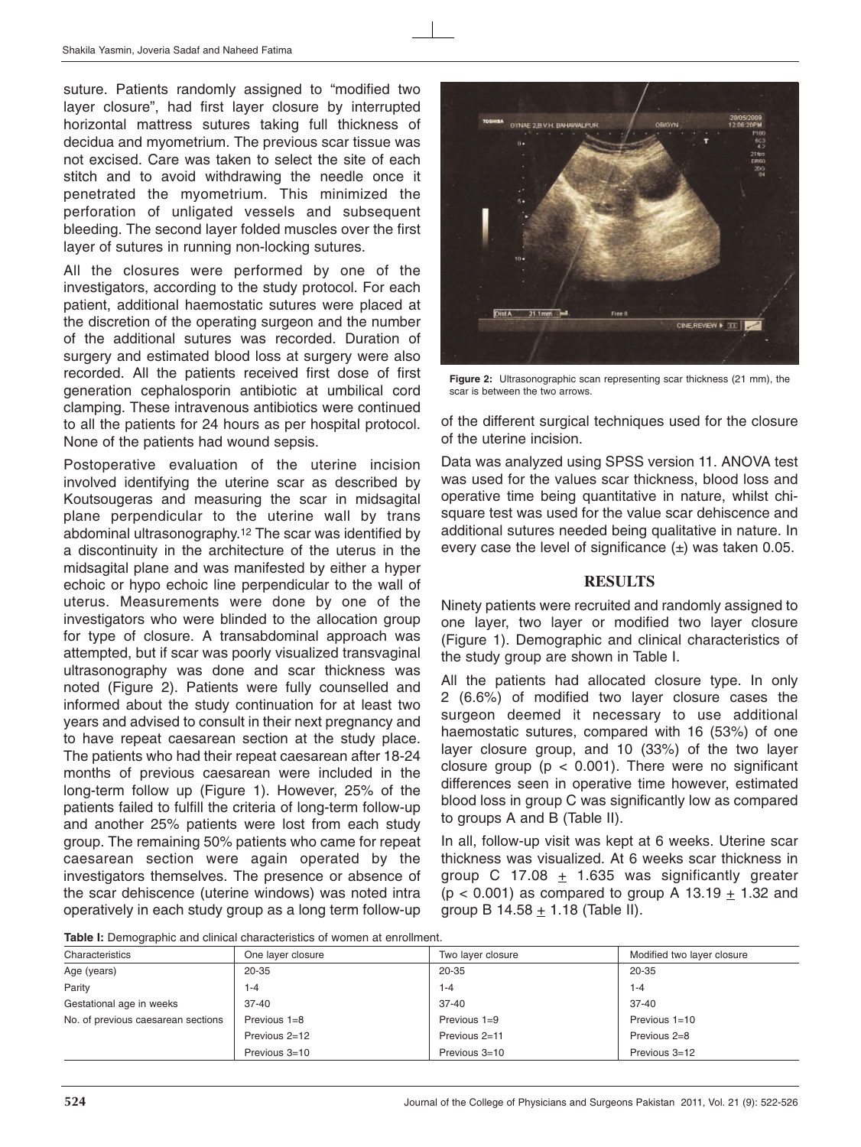suture. Patients randomly assigned to "modified two layer closure", had first layer closure by interrupted horizontal mattress sutures taking full thickness of decidua and myometrium. The previous scar tissue was not excised. Care was taken to select the site of each stitch and to avoid withdrawing the needle once it penetrated the myometrium. This minimized the perforation of unligated vessels and subsequent bleeding. The second layer folded muscles over the first layer of sutures in running non-locking sutures.

All the closures were performed by one of the investigators, according to the study protocol. For each patient, additional haemostatic sutures were placed at the discretion of the operating surgeon and the number of the additional sutures was recorded. Duration of surgery and estimated blood loss at surgery were also recorded. All the patients received first dose of first generation cephalosporin antibiotic at umbilical cord clamping. These intravenous antibiotics were continued to all the patients for 24 hours as per hospital protocol. None of the patients had wound sepsis.

Postoperative evaluation of the uterine incision involved identifying the uterine scar as described by Koutsougeras and measuring the scar in midsagital plane perpendicular to the uterine wall by trans abdominal ultrasonography.12 The scar was identified by a discontinuity in the architecture of the uterus in the midsagital plane and was manifested by either a hyper echoic or hypo echoic line perpendicular to the wall of uterus. Measurements were done by one of the investigators who were blinded to the allocation group for type of closure. A transabdominal approach was attempted, but if scar was poorly visualized transvaginal ultrasonography was done and scar thickness was noted (Figure 2). Patients were fully counselled and informed about the study continuation for at least two years and advised to consult in their next pregnancy and to have repeat caesarean section at the study place. The patients who had their repeat caesarean after 18-24 months of previous caesarean were included in the long-term follow up (Figure 1). However, 25% of the patients failed to fulfill the criteria of long-term follow-up and another 25% patients were lost from each study group. The remaining 50% patients who came for repeat caesarean section were again operated by the investigators themselves. The presence or absence of the scar dehiscence (uterine windows) was noted intra operatively in each study group as a long term follow-up



**Figure 2:** Ultrasonographic scan representing scar thickness (21 mm), the scar is between the two arrows.

of the different surgical techniques used for the closure of the uterine incision.

Data was analyzed using SPSS version 11. ANOVA test was used for the values scar thickness, blood loss and operative time being quantitative in nature, whilst chisquare test was used for the value scar dehiscence and additional sutures needed being qualitative in nature. In every case the level of significance  $(\pm)$  was taken 0.05.

### **RESULTS**

Ninety patients were recruited and randomly assigned to one layer, two layer or modified two layer closure (Figure 1). Demographic and clinical characteristics of the study group are shown in Table I.

All the patients had allocated closure type. In only 2 (6.6%) of modified two layer closure cases the surgeon deemed it necessary to use additional haemostatic sutures, compared with 16 (53%) of one layer closure group, and 10 (33%) of the two layer closure group ( $p < 0.001$ ). There were no significant differences seen in operative time however, estimated blood loss in group C was significantly low as compared to groups A and B (Table II).

In all, follow-up visit was kept at 6 weeks. Uterine scar thickness was visualized. At 6 weeks scar thickness in group C 17.08  $+$  1.635 was significantly greater (p < 0.001) as compared to group A 13.19  $\pm$  1.32 and group B 14.58 + 1.18 (Table II).

**Table I:** Demographic and clinical characteristics of women at enrollment.

| <b>Existence in Dominiqual and commodition and constructed</b> on monitoring and computation |                   |                   |                            |  |  |  |  |
|----------------------------------------------------------------------------------------------|-------------------|-------------------|----------------------------|--|--|--|--|
| Characteristics                                                                              | One layer closure | Two layer closure | Modified two layer closure |  |  |  |  |
| Age (years)                                                                                  | 20-35             | 20-35             | 20-35                      |  |  |  |  |
| Parity                                                                                       | 1-4               | 1-4               | $1 - 4$                    |  |  |  |  |
| Gestational age in weeks                                                                     | $37-40$           | $37 - 40$         | $37-40$                    |  |  |  |  |
| No. of previous caesarean sections                                                           | Previous 1=8      | Previous 1=9      | Previous 1=10              |  |  |  |  |
|                                                                                              | Previous 2=12     | Previous 2=11     | Previous 2=8               |  |  |  |  |
|                                                                                              | Previous 3=10     | Previous 3=10     | Previous 3=12              |  |  |  |  |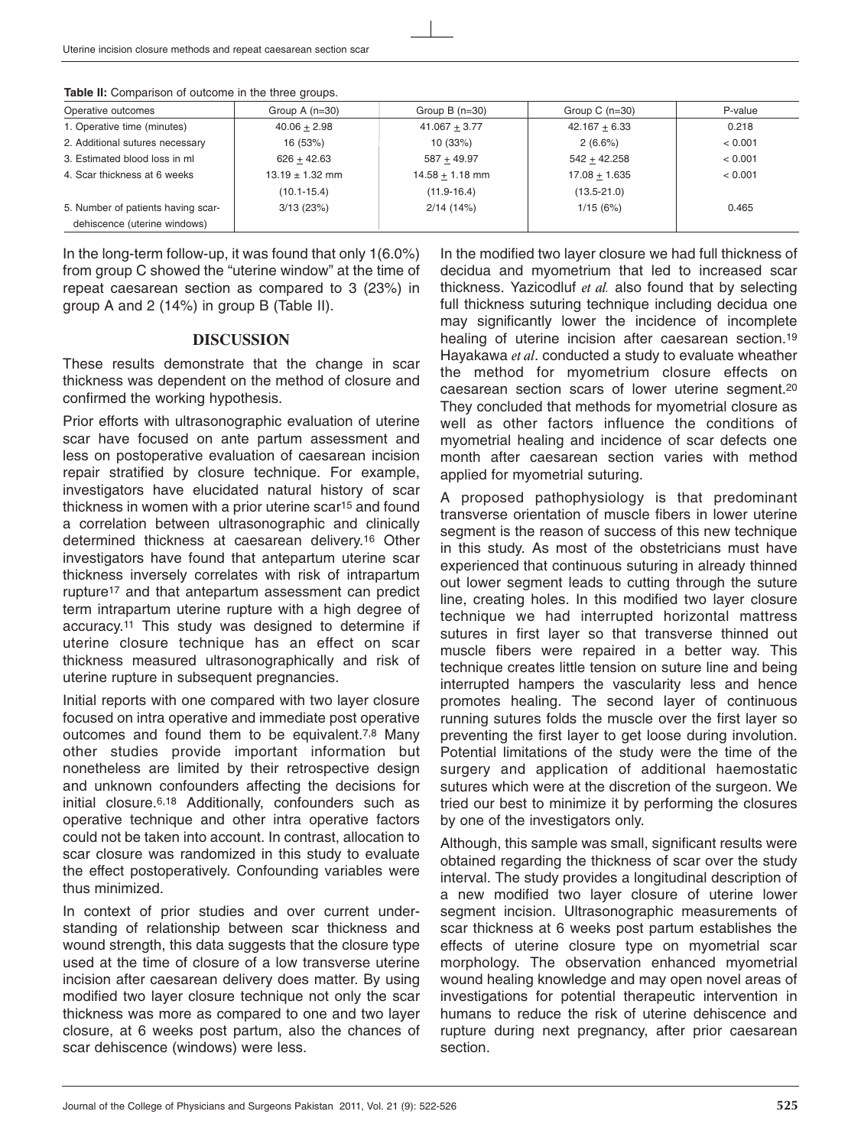|  |  |  | Table II: Comparison of outcome in the three groups. |  |  |  |  |  |  |
|--|--|--|------------------------------------------------------|--|--|--|--|--|--|
|--|--|--|------------------------------------------------------|--|--|--|--|--|--|

| Operative outcomes                 | Group $A(n=30)$     | Group $B(n=30)$   | Group C $(n=30)$ | P-value |
|------------------------------------|---------------------|-------------------|------------------|---------|
| 1. Operative time (minutes)        | $40.06 + 2.98$      | $41.067 + 3.77$   | $42.167 + 6.33$  | 0.218   |
| 2. Additional sutures necessary    | 16 (53%)            | 10(33%)           | 2(6.6%)          | < 0.001 |
| 3. Estimated blood loss in ml      | $626 + 42.63$       | $587 + 49.97$     | $542 + 42.258$   | < 0.001 |
| 4. Scar thickness at 6 weeks       | $13.19 \pm 1.32$ mm | $14.58 + 1.18$ mm | $17.08 + 1.635$  | < 0.001 |
|                                    | $(10.1 - 15.4)$     | $(11.9 - 16.4)$   | $(13.5 - 21.0)$  |         |
| 5. Number of patients having scar- | 3/13(23%)           | 2/14(14%)         | 1/15(6%)         | 0.465   |
| dehiscence (uterine windows)       |                     |                   |                  |         |

In the long-term follow-up, it was found that only 1(6.0%) from group C showed the "uterine window" at the time of repeat caesarean section as compared to 3 (23%) in group A and 2 (14%) in group B (Table II).

#### **DISCUSSION**

These results demonstrate that the change in scar thickness was dependent on the method of closure and confirmed the working hypothesis.

Prior efforts with ultrasonographic evaluation of uterine scar have focused on ante partum assessment and less on postoperative evaluation of caesarean incision repair stratified by closure technique. For example, investigators have elucidated natural history of scar thickness in women with a prior uterine scar<sup>15</sup> and found a correlation between ultrasonographic and clinically determined thickness at caesarean delivery.16 Other investigators have found that antepartum uterine scar thickness inversely correlates with risk of intrapartum rupture17 and that antepartum assessment can predict term intrapartum uterine rupture with a high degree of accuracy.11 This study was designed to determine if uterine closure technique has an effect on scar thickness measured ultrasonographically and risk of uterine rupture in subsequent pregnancies.

Initial reports with one compared with two layer closure focused on intra operative and immediate post operative outcomes and found them to be equivalent.7,8 Many other studies provide important information but nonetheless are limited by their retrospective design and unknown confounders affecting the decisions for initial closure.6,18 Additionally, confounders such as operative technique and other intra operative factors could not be taken into account. In contrast, allocation to scar closure was randomized in this study to evaluate the effect postoperatively. Confounding variables were thus minimized.

In context of prior studies and over current understanding of relationship between scar thickness and wound strength, this data suggests that the closure type used at the time of closure of a low transverse uterine incision after caesarean delivery does matter. By using modified two layer closure technique not only the scar thickness was more as compared to one and two layer closure, at 6 weeks post partum, also the chances of scar dehiscence (windows) were less.

In the modified two layer closure we had full thickness of decidua and myometrium that led to increased scar thickness. Yazicodluf *et al.* also found that by selecting full thickness suturing technique including decidua one may significantly lower the incidence of incomplete healing of uterine incision after caesarean section.19 Hayakawa *et al*. conducted a study to evaluate wheather the method for myometrium closure effects on caesarean section scars of lower uterine segment.20 They concluded that methods for myometrial closure as well as other factors influence the conditions of myometrial healing and incidence of scar defects one month after caesarean section varies with method applied for myometrial suturing.

A proposed pathophysiology is that predominant transverse orientation of muscle fibers in lower uterine segment is the reason of success of this new technique in this study. As most of the obstetricians must have experienced that continuous suturing in already thinned out lower segment leads to cutting through the suture line, creating holes. In this modified two layer closure technique we had interrupted horizontal mattress sutures in first layer so that transverse thinned out muscle fibers were repaired in a better way. This technique creates little tension on suture line and being interrupted hampers the vascularity less and hence promotes healing. The second layer of continuous running sutures folds the muscle over the first layer so preventing the first layer to get loose during involution. Potential limitations of the study were the time of the surgery and application of additional haemostatic sutures which were at the discretion of the surgeon. We tried our best to minimize it by performing the closures by one of the investigators only.

Although, this sample was small, significant results were obtained regarding the thickness of scar over the study interval. The study provides a longitudinal description of a new modified two layer closure of uterine lower segment incision. Ultrasonographic measurements of scar thickness at 6 weeks post partum establishes the effects of uterine closure type on myometrial scar morphology. The observation enhanced myometrial wound healing knowledge and may open novel areas of investigations for potential therapeutic intervention in humans to reduce the risk of uterine dehiscence and rupture during next pregnancy, after prior caesarean section.